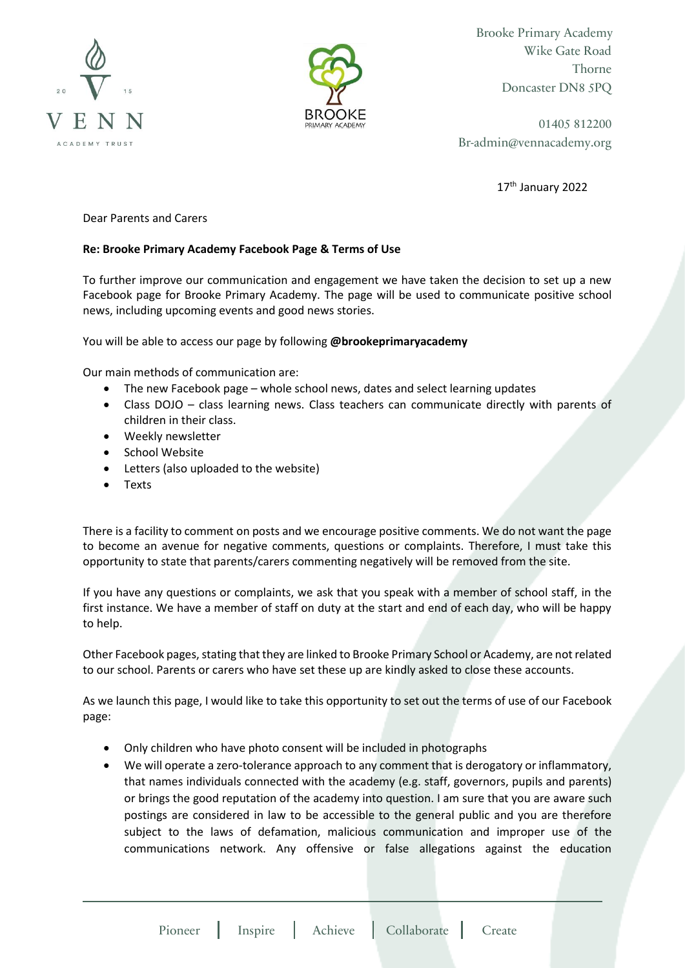



Brooke Primary Academy Wike Gate Road Thorne Doncaster DN8 5PQ

01405 812200 Br-admin@vennacademy.org

17th January 2022

Dear Parents and Carers

## **Re: Brooke Primary Academy Facebook Page & Terms of Use**

To further improve our communication and engagement we have taken the decision to set up a new Facebook page for Brooke Primary Academy. The page will be used to communicate positive school news, including upcoming events and good news stories.

You will be able to access our page by following **@brookeprimaryacademy**

Our main methods of communication are:

- The new Facebook page whole school news, dates and select learning updates
- Class DOJO class learning news. Class teachers can communicate directly with parents of children in their class.
- Weekly newsletter
- School Website
- Letters (also uploaded to the website)
- Texts

There is a facility to comment on posts and we encourage positive comments. We do not want the page to become an avenue for negative comments, questions or complaints. Therefore, I must take this opportunity to state that parents/carers commenting negatively will be removed from the site.

If you have any questions or complaints, we ask that you speak with a member of school staff, in the first instance. We have a member of staff on duty at the start and end of each day, who will be happy to help.

Other Facebook pages, stating that they are linked to Brooke Primary School or Academy, are not related to our school. Parents or carers who have set these up are kindly asked to close these accounts.

As we launch this page, I would like to take this opportunity to set out the terms of use of our Facebook page:

- Only children who have photo consent will be included in photographs
- We will operate a zero-tolerance approach to any comment that is derogatory or inflammatory, that names individuals connected with the academy (e.g. staff, governors, pupils and parents) or brings the good reputation of the academy into question. I am sure that you are aware such postings are considered in law to be accessible to the general public and you are therefore subject to the laws of defamation, malicious communication and improper use of the communications network. Any offensive or false allegations against the education